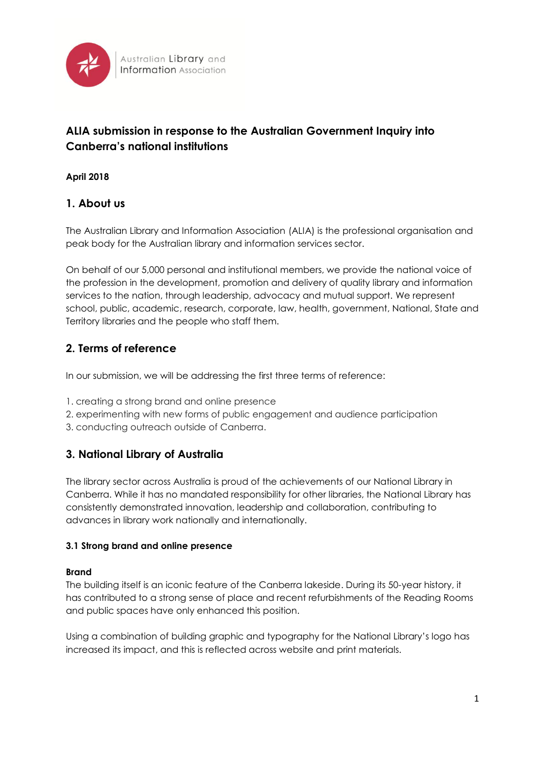

# **ALIA submission in response to the Australian Government Inquiry into Canberra's national institutions**

## **April 2018**

## **1. About us**

The Australian Library and Information Association (ALIA) is the professional organisation and peak body for the Australian library and information services sector.

On behalf of our 5,000 personal and institutional members, we provide the national voice of the profession in the development, promotion and delivery of quality library and information services to the nation, through leadership, advocacy and mutual support. We represent school, public, academic, research, corporate, law, health, government, National, State and Territory libraries and the people who staff them.

## **2. Terms of reference**

In our submission, we will be addressing the first three terms of reference:

- 1. creating a strong brand and online presence
- 2. experimenting with new forms of public engagement and audience participation
- 3. conducting outreach outside of Canberra.

## **3. National Library of Australia**

The library sector across Australia is proud of the achievements of our National Library in Canberra. While it has no mandated responsibility for other libraries, the National Library has consistently demonstrated innovation, leadership and collaboration, contributing to advances in library work nationally and internationally.

#### **3.1 Strong brand and online presence**

#### **Brand**

The building itself is an iconic feature of the Canberra lakeside. During its 50-year history, it has contributed to a strong sense of place and recent refurbishments of the Reading Rooms and public spaces have only enhanced this position.

Using a combination of building graphic and typography for the National Library's logo has increased its impact, and this is reflected across website and print materials.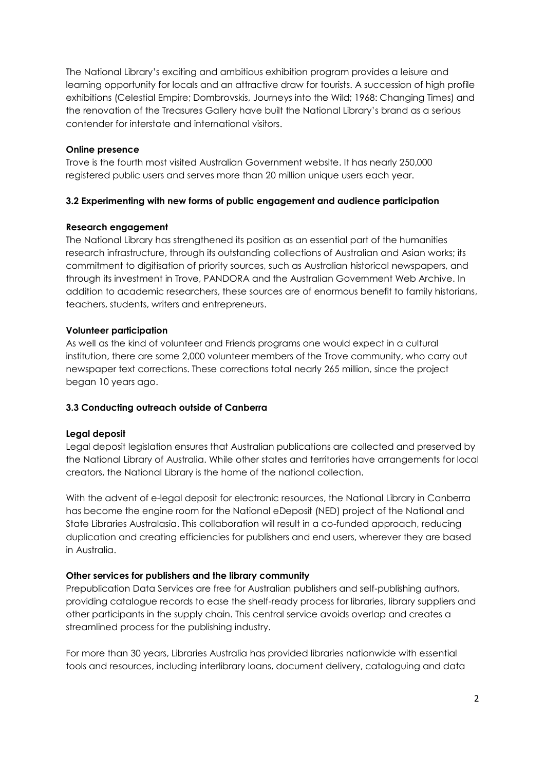The National Library's exciting and ambitious exhibition program provides a leisure and learning opportunity for locals and an attractive draw for tourists. A succession of high profile exhibitions (Celestial Empire; Dombrovskis, Journeys into the Wild; 1968: Changing Times) and the renovation of the Treasures Gallery have built the National Library's brand as a serious contender for interstate and international visitors.

#### **Online presence**

Trove is the fourth most visited Australian Government website. It has nearly 250,000 registered public users and serves more than 20 million unique users each year.

#### **3.2 Experimenting with new forms of public engagement and audience participation**

#### **Research engagement**

The National Library has strengthened its position as an essential part of the humanities research infrastructure, through its outstanding collections of Australian and Asian works; its commitment to digitisation of priority sources, such as Australian historical newspapers, and through its investment in Trove, PANDORA and the Australian Government Web Archive. In addition to academic researchers, these sources are of enormous benefit to family historians, teachers, students, writers and entrepreneurs.

#### **Volunteer participation**

As well as the kind of volunteer and Friends programs one would expect in a cultural institution, there are some 2,000 volunteer members of the Trove community, who carry out newspaper text corrections. These corrections total nearly 265 million, since the project began 10 years ago.

#### **3.3 Conducting outreach outside of Canberra**

#### **Legal deposit**

Legal deposit legislation ensures that Australian publications are collected and preserved by the National Library of Australia. While other states and territories have arrangements for local creators, the National Library is the home of the national collection.

With the advent of e-legal deposit for electronic resources, the National Library in Canberra has become the engine room for the National eDeposit (NED) project of the National and State Libraries Australasia. This collaboration will result in a co-funded approach, reducing duplication and creating efficiencies for publishers and end users, wherever they are based in Australia.

#### **Other services for publishers and the library community**

Prepublication Data Services are free for Australian publishers and self-publishing authors, providing catalogue records to ease the shelf-ready process for libraries, library suppliers and other participants in the supply chain. This central service avoids overlap and creates a streamlined process for the publishing industry.

For more than 30 years, Libraries Australia has provided libraries nationwide with essential tools and resources, including interlibrary loans, document delivery, cataloguing and data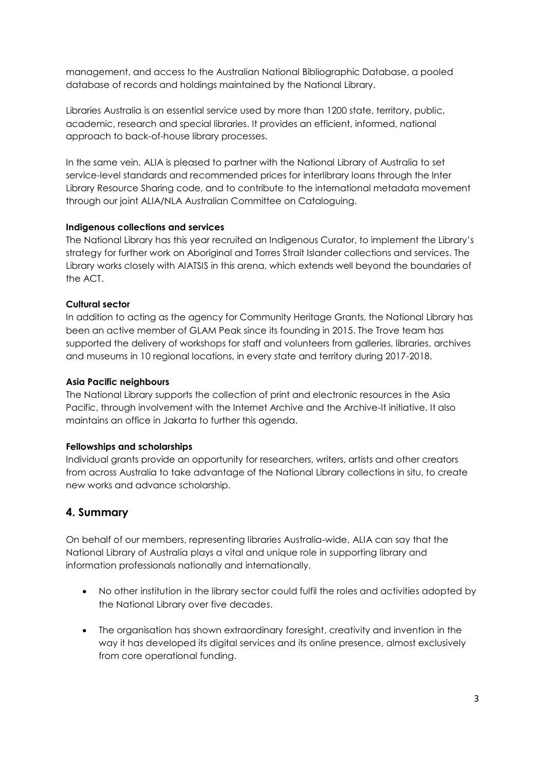management, and access to the Australian National Bibliographic Database, a pooled database of records and holdings maintained by the National Library.

Libraries Australia is an essential service used by more than 1200 state, territory, public, academic, research and special libraries. It provides an efficient, informed, national approach to back-of-house library processes.

In the same vein, ALIA is pleased to partner with the National Library of Australia to set service-level standards and recommended prices for interlibrary loans through the Inter Library Resource Sharing code, and to contribute to the international metadata movement through our joint ALIA/NLA Australian Committee on Cataloguing.

#### **Indigenous collections and services**

The National Library has this year recruited an Indigenous Curator, to implement the Library's strategy for further work on Aboriginal and Torres Strait Islander collections and services. The Library works closely with AIATSIS in this arena, which extends well beyond the boundaries of the ACT.

#### **Cultural sector**

In addition to acting as the agency for Community Heritage Grants, the National Library has been an active member of GLAM Peak since its founding in 2015. The Trove team has supported the delivery of workshops for staff and volunteers from galleries, libraries, archives and museums in 10 regional locations, in every state and territory during 2017-2018.

#### **Asia Pacific neighbours**

The National Library supports the collection of print and electronic resources in the Asia Pacific, through involvement with the Internet Archive and the Archive-It initiative. It also maintains an office in Jakarta to further this agenda.

#### **Fellowships and scholarships**

Individual grants provide an opportunity for researchers, writers, artists and other creators from across Australia to take advantage of the National Library collections in situ, to create new works and advance scholarship.

## **4. Summary**

On behalf of our members, representing libraries Australia-wide, ALIA can say that the National Library of Australia plays a vital and unique role in supporting library and information professionals nationally and internationally.

- No other institution in the library sector could fulfil the roles and activities adopted by the National Library over five decades.
- The organisation has shown extraordinary foresight, creativity and invention in the way it has developed its digital services and its online presence, almost exclusively from core operational funding.